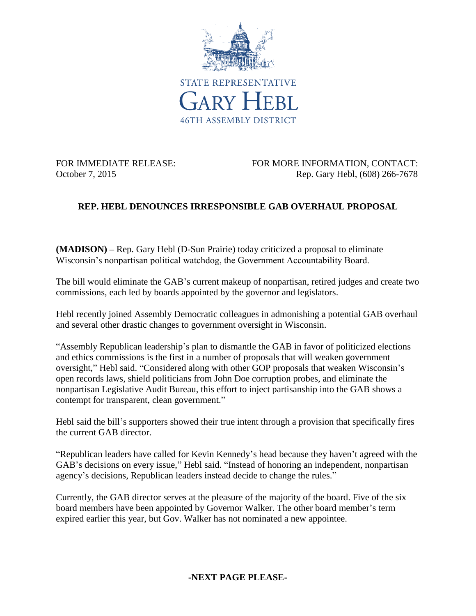

FOR IMMEDIATE RELEASE: FOR MORE INFORMATION, CONTACT: October 7, 2015 **Rep. Gary Hebl, (608) 266-7678** 

## **REP. HEBL DENOUNCES IRRESPONSIBLE GAB OVERHAUL PROPOSAL**

**(MADISON) –** Rep. Gary Hebl (D-Sun Prairie) today criticized a proposal to eliminate Wisconsin's nonpartisan political watchdog, the Government Accountability Board.

The bill would eliminate the GAB's current makeup of nonpartisan, retired judges and create two commissions, each led by boards appointed by the governor and legislators.

Hebl recently joined Assembly Democratic colleagues in admonishing a potential GAB overhaul and several other drastic changes to government oversight in Wisconsin.

"Assembly Republican leadership's plan to dismantle the GAB in favor of politicized elections and ethics commissions is the first in a number of proposals that will weaken government oversight," Hebl said. "Considered along with other GOP proposals that weaken Wisconsin's open records laws, shield politicians from John Doe corruption probes, and eliminate the nonpartisan Legislative Audit Bureau, this effort to inject partisanship into the GAB shows a contempt for transparent, clean government."

Hebl said the bill's supporters showed their true intent through a provision that specifically fires the current GAB director.

"Republican leaders have called for Kevin Kennedy's head because they haven't agreed with the GAB's decisions on every issue," Hebl said. "Instead of honoring an independent, nonpartisan agency's decisions, Republican leaders instead decide to change the rules."

Currently, the GAB director serves at the pleasure of the majority of the board. Five of the six board members have been appointed by Governor Walker. The other board member's term expired earlier this year, but Gov. Walker has not nominated a new appointee.

## **-NEXT PAGE PLEASE-**